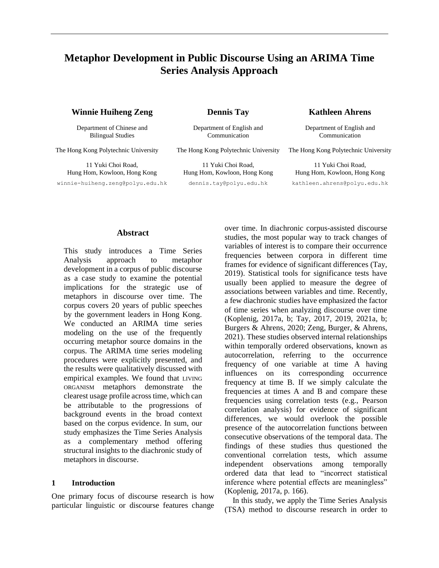# **Metaphor Development in Public Discourse Using an ARIMA Time Series Analysis Approach**

## **Winnie Huiheng Zeng <b>Dennis Tay Kathleen Ahrens**

Department of Chinese and Bilingual Studies

11 Yuki Choi Road, Hung Hom, Kowloon, Hong Kong

[winnie-huiheng.zeng@polyu.edu.hk](mailto:winnie-huiheng.zeng@polyu.edu.hk) dennis.tay@polyu.edu.hk [kathleen.ahrens@polyu.edu.hk](mailto:kathleen.ahrens@polyu.edu.hk)

Department of English and Communication

11 Yuki Choi Road, Hung Hom, Kowloon, Hong Kong

Department of English and Communication

The Hong Kong Polytechnic University The Hong Kong Polytechnic University The Hong Kong Polytechnic University

11 Yuki Choi Road, Hung Hom, Kowloon, Hong Kong

## **Abstract**

This study introduces a Time Series Analysis approach to metaphor development in a corpus of public discourse as a case study to examine the potential implications for the strategic use of metaphors in discourse over time. The corpus covers 20 years of public speeches by the government leaders in Hong Kong. We conducted an ARIMA time series modeling on the use of the frequently occurring metaphor source domains in the corpus. The ARIMA time series modeling procedures were explicitly presented, and the results were qualitatively discussed with empirical examples. We found that LIVING ORGANISM metaphors demonstrate the clearest usage profile across time, which can be attributable to the progressions of background events in the broad context based on the corpus evidence. In sum, our study emphasizes the Time Series Analysis as a complementary method offering structural insights to the diachronic study of metaphors in discourse.

#### **1 Introduction**

One primary focus of discourse research is how particular linguistic or discourse features change over time. In diachronic corpus-assisted discourse studies, the most popular way to track changes of variables of interest is to compare their occurrence frequencies between corpora in different time frames for evidence of significant differences (Tay, 2019). Statistical tools for significance tests have usually been applied to measure the degree of associations between variables and time. Recently, a few diachronic studies have emphasized the factor of time series when analyzing discourse over time (Koplenig, 2017a, b; Tay, 2017, 2019, 2021a, b; Burgers & Ahrens, 2020; Zeng, Burger, & Ahrens, 2021). These studies observed internal relationships within temporally ordered observations, known as autocorrelation, referring to the occurrence frequency of one variable at time A having influences on its corresponding occurrence frequency at time B. If we simply calculate the frequencies at times A and B and compare these frequencies using correlation tests (e.g., Pearson correlation analysis) for evidence of significant differences, we would overlook the possible presence of the autocorrelation functions between consecutive observations of the temporal data. The findings of these studies thus questioned the conventional correlation tests, which assume independent observations among temporally ordered data that lead to "incorrect statistical inference where potential effects are meaningless" (Koplenig, 2017a, p. 166).

In this study, we apply the Time Series Analysis (TSA) method to discourse research in order to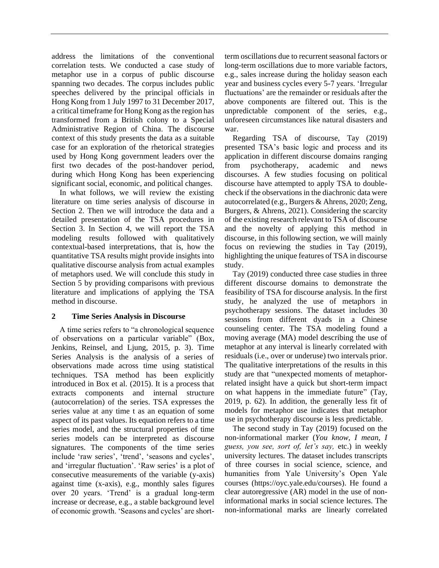address the limitations of the conventional correlation tests. We conducted a case study of metaphor use in a corpus of public discourse spanning two decades. The corpus includes public speeches delivered by the principal officials in Hong Kong from 1 July 1997 to 31 December 2017, a critical timeframe for Hong Kong as the region has transformed from a British colony to a Special Administrative Region of China. The discourse context of this study presents the data as a suitable case for an exploration of the rhetorical strategies used by Hong Kong government leaders over the first two decades of the post-handover period, during which Hong Kong has been experiencing significant social, economic, and political changes.

In what follows, we will review the existing literature on time series analysis of discourse in Section 2. Then we will introduce the data and a detailed presentation of the TSA procedures in Section 3. In Section 4, we will report the TSA modeling results followed with qualitatively contextual-based interpretations, that is, how the quantitative TSA results might provide insights into qualitative discourse analysis from actual examples of metaphors used. We will conclude this study in Section 5 by providing comparisons with previous literature and implications of applying the TSA method in discourse.

#### **2 Time Series Analysis in Discourse**

A time series refers to "a chronological sequence of observations on a particular variable" (Box, Jenkins, Reinsel, and Ljung, 2015, p. 3). Time Series Analysis is the analysis of a series of observations made across time using statistical techniques. TSA method has been explicitly introduced in Box et al. (2015). It is a process that extracts components and internal structure (autocorrelation) of the series. TSA expresses the series value at any time t as an equation of some aspect of its past values. Its equation refers to a time series model, and the structural properties of time series models can be interpreted as discourse signatures. The components of the time series include 'raw series', 'trend', 'seasons and cycles', and 'irregular fluctuation'. 'Raw series' is a plot of consecutive measurements of the variable (y-axis) against time (x-axis), e.g., monthly sales figures over 20 years. 'Trend' is a gradual long-term increase or decrease, e.g., a stable background level of economic growth. 'Seasons and cycles' are shortterm oscillations due to recurrent seasonal factors or long-term oscillations due to more variable factors, e.g., sales increase during the holiday season each year and business cycles every 5-7 years. 'Irregular fluctuations' are the remainder or residuals after the above components are filtered out. This is the unpredictable component of the series, e.g., unforeseen circumstances like natural disasters and war.

Regarding TSA of discourse, Tay (2019) presented TSA's basic logic and process and its application in different discourse domains ranging from psychotherapy, academic and news discourses. A few studies focusing on political discourse have attempted to apply TSA to doublecheck if the observations in the diachronic data were autocorrelated (e.g., Burgers & Ahrens, 2020; Zeng, Burgers, & Ahrens, 2021). Considering the scarcity of the existing research relevant to TSA of discourse and the novelty of applying this method in discourse, in this following section, we will mainly focus on reviewing the studies in Tay (2019), highlighting the unique features of TSA in discourse study.

Tay (2019) conducted three case studies in three different discourse domains to demonstrate the feasibility of TSA for discourse analysis. In the first study, he analyzed the use of metaphors in psychotherapy sessions. The dataset includes 30 sessions from different dyads in a Chinese counseling center. The TSA modeling found a moving average (MA) model describing the use of metaphor at any interval is linearly correlated with residuals (i.e., over or underuse) two intervals prior. The qualitative interpretations of the results in this study are that "unexpected moments of metaphorrelated insight have a quick but short-term impact on what happens in the immediate future" (Tay, 2019, p. 62). In addition, the generally less fit of models for metaphor use indicates that metaphor use in psychotherapy discourse is less predictable.

The second study in Tay (2019) focused on the non-informational marker (*You know, I mean, I guess, you see, sort of, let's say,* etc.) in weekly university lectures. The dataset includes transcripts of three courses in social science, science, and humanities from Yale University's Open Yale courses (https://oyc.yale.edu/courses). He found a clear autoregressive (AR) model in the use of noninformational marks in social science lectures. The non-informational marks are linearly correlated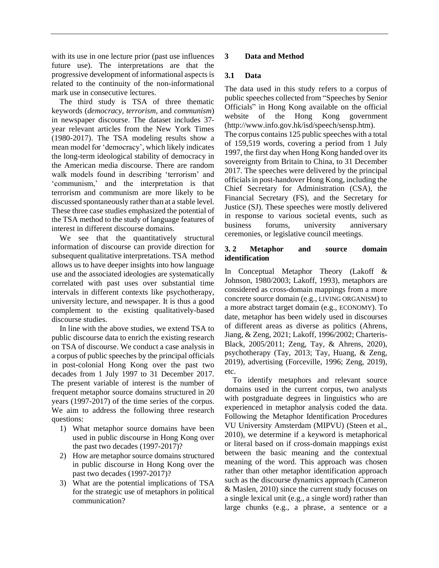with its use in one lecture prior (past use influences future use). The interpretations are that the progressive development of informational aspects is related to the continuity of the non-informational mark use in consecutive lectures.

The third study is TSA of three thematic keywords (*democracy, terrorism,* and *communism*) in newspaper discourse. The dataset includes 37 year relevant articles from the New York Times (1980-2017). The TSA modeling results show a mean model for 'democracy', which likely indicates the long-term ideological stability of democracy in the American media discourse. There are random walk models found in describing 'terrorism' and 'communism,' and the interpretation is that terrorism and communism are more likely to be discussed spontaneously rather than at a stable level. These three case studies emphasized the potential of the TSA method to the study of language features of interest in different discourse domains.

We see that the quantitatively structural information of discourse can provide direction for subsequent qualitative interpretations. TSA method allows us to have deeper insights into how language use and the associated ideologies are systematically correlated with past uses over substantial time intervals in different contexts like psychotherapy, university lecture, and newspaper. It is thus a good complement to the existing qualitatively-based discourse studies.

In line with the above studies, we extend TSA to public discourse data to enrich the existing research on TSA of discourse. We conduct a case analysis in a corpus of public speeches by the principal officials in post-colonial Hong Kong over the past two decades from 1 July 1997 to 31 December 2017. The present variable of interest is the number of frequent metaphor source domains structured in 20 years (1997-2017) of the time series of the corpus. We aim to address the following three research questions:

- 1) What metaphor source domains have been used in public discourse in Hong Kong over the past two decades (1997-2017)?
- 2) How are metaphor source domains structured in public discourse in Hong Kong over the past two decades (1997-2017)?
- 3) What are the potential implications of TSA for the strategic use of metaphors in political communication?

## **3 Data and Method**

## **3.1 Data**

The data used in this study refers to a corpus of public speeches collected from "Speeches by Senior Officials" in Hong Kong available on the official website of the Hong Kong government [\(http://www.info.gov.hk/isd/speech/sensp.htm\)](http://www.info.gov.hk/isd/speech/sensp.htm). The corpus contains 125 public speeches with a total of 159,519 words, covering a period from 1 July 1997, the first day when Hong Kong handed over its sovereignty from Britain to China, to 31 December 2017. The speeches were delivered by the principal officials in post-handover Hong Kong, including the Chief Secretary for Administration (CSA), the Financial Secretary (FS), and the Secretary for Justice (SJ). These speeches were mostly delivered in response to various societal events, such as business forums, university anniversary ceremonies, or legislative council meetings.

## **3. 2 Metaphor and source domain identification**

In Conceptual Metaphor Theory (Lakoff & Johnson, 1980/2003; Lakoff, 1993), metaphors are considered as cross-domain mappings from a more concrete source domain (e.g., LIVING ORGANISM) to a more abstract target domain (e.g., ECONOMY). To date, metaphor has been widely used in discourses of different areas as diverse as politics (Ahrens, Jiang, & Zeng, 2021; Lakoff, 1996/2002; Charteris-Black, 2005/2011; Zeng, Tay, & Ahrens, 2020), psychotherapy (Tay, 2013; Tay, Huang, & Zeng, 2019), advertising (Forceville, 1996; Zeng, 2019), etc.

To identify metaphors and relevant source domains used in the current corpus, two analysts with postgraduate degrees in linguistics who are experienced in metaphor analysis coded the data. Following the Metaphor Identification Procedures VU University Amsterdam (MIPVU) (Steen et al., 2010), we determine if a keyword is metaphorical or literal based on if cross-domain mappings exist between the basic meaning and the contextual meaning of the word. This approach was chosen rather than other metaphor identification approach such as the discourse dynamics approach (Cameron & Maslen, 2010) since the current study focuses on a single lexical unit (e.g., a single word) rather than large chunks (e.g., a phrase, a sentence or a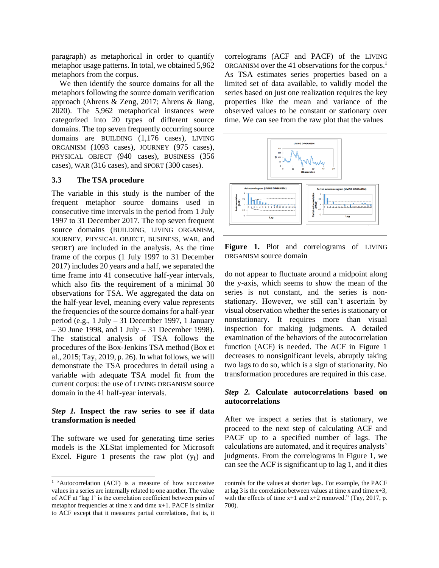paragraph) as metaphorical in order to quantify metaphor usage patterns. In total, we obtained 5,962 metaphors from the corpus.

We then identify the source domains for all the metaphors following the source domain verification approach (Ahrens & Zeng, 2017; Ahrens & Jiang, 2020). The 5,962 metaphorical instances were categorized into 20 types of different source domains. The top seven frequently occurring source domains are BUILDING (1,176 cases), LIVING ORGANISM (1093 cases), JOURNEY (975 cases), PHYSICAL OBJECT (940 cases), BUSINESS (356 cases), WAR (316 cases), and SPORT (300 cases).

#### **3.3 The TSA procedure**

The variable in this study is the number of the frequent metaphor source domains used in consecutive time intervals in the period from 1 July 1997 to 31 December 2017. The top seven frequent source domains (BUILDING, LIVING ORGANISM, JOURNEY, PHYSICAL OBJECT, BUSINESS, WAR, and SPORT) are included in the analysis. As the time frame of the corpus (1 July 1997 to 31 December 2017) includes 20 years and a half, we separated the time frame into 41 consecutive half-year intervals, which also fits the requirement of a minimal 30 observations for TSA. We aggregated the data on the half-year level, meaning every value represents the frequencies of the source domains for a half-year period (e.g., 1 July – 31 December 1997, 1 January – 30 June 1998, and 1 July – 31 December 1998). The statistical analysis of TSA follows the procedures of the Box-Jenkins TSA method (Box et al., 2015; Tay, 2019, p. 26). In what follows, we will demonstrate the TSA procedures in detail using a variable with adequate TSA model fit from the current corpus: the use of LIVING ORGANISM source domain in the 41 half-year intervals.

### *Step 1.* **Inspect the raw series to see if data transformation is needed**

The software we used for generating time series models is the XLStat implemented for Microsoft Excel. Figure 1 presents the raw plot  $(y_t)$  and correlograms (ACF and PACF) of the LIVING ORGANISM over the 41 observations for the corpus.<sup>1</sup> As TSA estimates series properties based on a limited set of data available, to validly model the series based on just one realization requires the key properties like the mean and variance of the observed values to be constant or stationary over time. We can see from the raw plot that the values



**Figure 1.** Plot and correlograms of LIVING ORGANISM source domain

do not appear to fluctuate around a midpoint along the y-axis, which seems to show the mean of the series is not constant, and the series is nonstationary. However, we still can't ascertain by visual observation whether the series is stationary or nonstationary. It requires more than visual inspection for making judgments. A detailed examination of the behaviors of the autocorrelation function (ACF) is needed. The ACF in Figure 1 decreases to nonsignificant levels, abruptly taking two lags to do so, which is a sign of stationarity. No transformation procedures are required in this case.

#### *Step 2.* **Calculate autocorrelations based on autocorrelations**

After we inspect a series that is stationary, we proceed to the next step of calculating ACF and PACF up to a specified number of lags. The calculations are automated, and it requires analysts' judgments. From the correlograms in Figure 1, we can see the ACF is significant up to lag 1, and it dies

<sup>&</sup>lt;sup>1</sup> "Autocorrelation (ACF) is a measure of how successive values in a series are internally related to one another. The value of ACF at 'lag 1' is the correlation coefficient between pairs of metaphor frequencies at time  $x$  and time  $x+1$ . PACF is similar to ACF except that it measures partial correlations, that is, it

controls for the values at shorter lags. For example, the PACF at lag 3 is the correlation between values at time x and time  $x+3$ , with the effects of time  $x+1$  and  $x+2$  removed." (Tay, 2017, p. 700).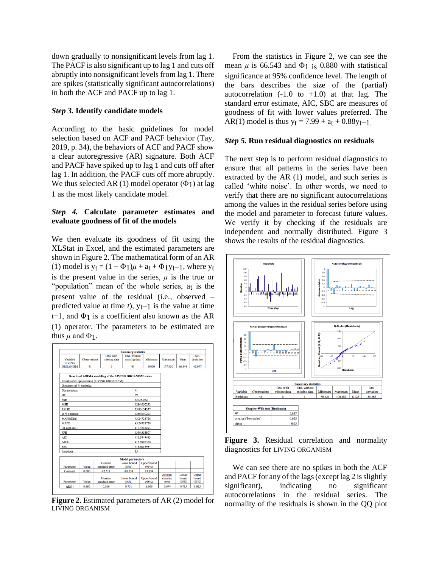down gradually to nonsignificant levels from lag 1. The PACF is also significant up to lag 1 and cuts off abruptly into nonsignificant levels from lag 1. There are spikes (statistically significant autocorrelations) in both the ACF and PACF up to lag 1.

## *Step 3.* **Identify candidate models**

According to the basic guidelines for model selection based on ACF and PACF behavior (Tay, 2019, p. 34), the behaviors of ACF and PACF show a clear autoregressive (AR) signature. Both ACF and PACF have spiked up to lag 1 and cuts off after lag 1. In addition, the PACF cuts off more abruptly. We thus selected AR (1) model operator  $(\Phi_1)$  at lag 1 as the most likely candidate model.

## *Step 4.* **Calculate parameter estimates and evaluate goodness of fit of the models**

We then evaluate its goodness of fit using the XLStat in Excel, and the estimated parameters are shown in Figure 2. The mathematical form of an AR (1) model is  $y_t = (1 - \Phi_1)\mu + a_t + \Phi_1y_{t-1}$ , where  $y_t$ is the present value in the series,  $\mu$  is the true or "population" mean of the whole series, a<sub>t</sub> is the present value of the residual (i.e., observed – predicted value at time *t*), yt−1 is the value at time *t*−1, and Φ1 is a coefficient also known as the AR (1) operator. The parameters to be estimated are thus  $\mu$  and  $\Phi$ 1.



**Figure 2.** Estimated parameters of AR (2) model for LIVING ORGANISM

From the statistics in Figure 2, we can see the mean  $\mu$  is 66.543 and  $\Phi$ <sub>1</sub> is 0.880 with statistical significance at 95% confidence level. The length of the bars describes the size of the (partial) autocorrelation  $(-1.0 \text{ to } +1.0)$  at that lag. The standard error estimate, AIC, SBC are measures of goodness of fit with lower values preferred. The AR(1) model is thus  $y_t = 7.99 + a_t + 0.88y_{t-1}$ .

#### *Step 5.* **Run residual diagnostics on residuals**

The next step is to perform residual diagnostics to ensure that all patterns in the series have been extracted by the AR (1) model, and such series is called 'white noise'. In other words, we need to verify that there are no significant autocorrelations among the values in the residual series before using the model and parameter to forecast future values. We verify it by checking if the residuals are independent and normally distributed. Figure 3 shows the results of the residual diagnostics.



**Figure 3.** Residual correlation and normality diagnostics for LIVING ORGANISM

We can see there are no spikes in both the ACF and PACF for any of the lags (except lag 2 is slightly significant), indicating no significant autocorrelations in the residual series. The normality of the residuals is shown in the QQ plot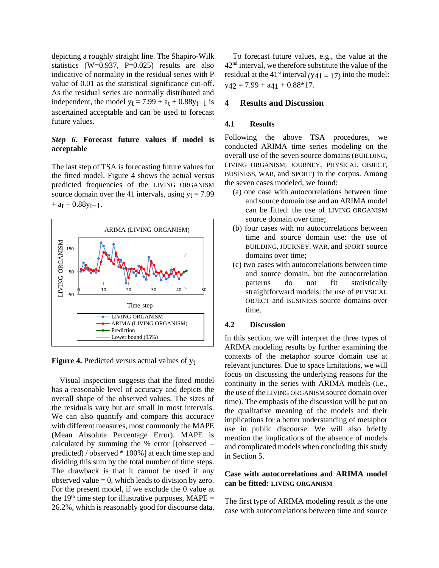depicting a roughly straight line. The Shapiro-Wilk statistics  $(W=0.937, P=0.025)$  results are also indicative of normality in the residual series with P value of 0.01 as the statistical significance cut-off. As the residual series are normally distributed and independent, the model  $y_t = 7.99 + a_t + 0.88y_{t-1}$  is ascertained acceptable and can be used to forecast future values.

## *Step 6.* **Forecast future values if model is acceptable**

The last step of TSA is forecasting future values for the fitted model. Figure 4 shows the actual versus predicted frequencies of the LIVING ORGANISM source domain over the 41 intervals, using  $y_t = 7.99$  $+$  a<sub>t</sub> + 0.88y<sub>t</sub>-1.



**Figure 4.** Predicted versus actual values of yt

Visual inspection suggests that the fitted model has a reasonable level of accuracy and depicts the overall shape of the observed values. The sizes of the residuals vary but are small in most intervals. We can also quantify and compare this accuracy with different measures, most commonly the MAPE (Mean Absolute Percentage Error). MAPE is calculated by summing the % error [(observed – predicted) / observed \* 100%] at each time step and dividing this sum by the total number of time steps. The drawback is that it cannot be used if any observed value  $= 0$ , which leads to division by zero. For the present model, if we exclude the 0 value at the 19<sup>th</sup> time step for illustrative purposes, MAPE = 26.2%, which is reasonably good for discourse data.

To forecast future values, e.g., the value at the 42nd interval, we therefore substitute the value of the residual at the 41<sup>st</sup> interval (y<sub>41</sub> = 17) into the model:  $y_{42} = 7.99 + a_{41} + 0.88 * 17.$ 

## **4 Results and Discussion**

## **4.1 Results**

Following the above TSA procedures, we conducted ARIMA time series modeling on the overall use of the seven source domains (BUILDING, LIVING ORGANISM, JOURNEY, PHYSICAL OBJECT, BUSINESS, WAR, and SPORT) in the corpus. Among the seven cases modeled, we found:

- (a) one case with autocorrelations between time and source domain use and an ARIMA model can be fitted: the use of LIVING ORGANISM source domain over time;
- (b) four cases with no autocorrelations between time and source domain use: the use of BUILDING, JOURNEY, WAR, and SPORT source domains over time;
- (c) two cases with autocorrelations between time and source domain, but the autocorrelation patterns do not fit statistically straightforward models: the use of PHYSICAL OBJECT and BUSINESS source domains over time.

## **4.2 Discussion**

In this section, we will interpret the three types of ARIMA modeling results by further examining the contexts of the metaphor source domain use at relevant junctures. Due to space limitations, we will focus on discussing the underlying reasons for the continuity in the series with ARIMA models (i.e., the use of the LIVING ORGANISM source domain over time). The emphasis of the discussion will be put on the qualitative meaning of the models and their implications for a better understanding of metaphor use in public discourse. We will also briefly mention the implications of the absence of models and complicated models when concluding this study in Section 5.

## **Case with autocorrelations and ARIMA model can be fitted: LIVING ORGANISM**

The first type of ARIMA modeling result is the one case with autocorrelations between time and source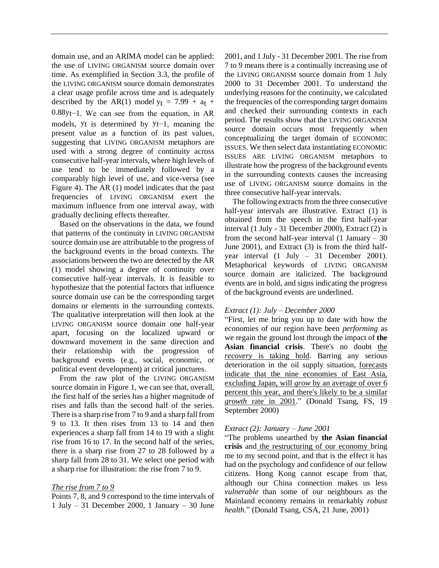domain use, and an ARIMA model can be applied: the use of LIVING ORGANISM source domain over time. As exemplified in Section 3.3, the profile of the LIVING ORGANISM source domain demonstrates a clear usage profile across time and is adequately described by the AR(1) model  $y_t = 7.99 + a_t +$ 0.88yt−1. We can see from the equation, in AR models, yt is determined by yt−1, meaning the present value as a function of its past values, suggesting that LIVING ORGANISM metaphors are used with a strong degree of continuity across consecutive half-year intervals, where high levels of use tend to be immediately followed by a comparably high level of use, and vice-versa (see Figure 4). The AR (1) model indicates that the past frequencies of LIVING ORGANISM exert the maximum influence from one interval away, with gradually declining effects thereafter.

Based on the observations in the data, we found that patterns of the continuity in LIVING ORGANISM source domain use are attributable to the progress of the background events in the broad contexts. The associations between the two are detected by the AR (1) model showing a degree of continuity over consecutive half-year intervals. It is feasible to hypothesize that the potential factors that influence source domain use can be the corresponding target domains or elements in the surrounding contexts. The qualitative interpretation will then look at the LIVING ORGANISM source domain one half-year apart, focusing on the localized upward or downward movement in the same direction and their relationship with the progression of background events (e.g., social, economic, or political event development) at critical junctures.

From the raw plot of the LIVING ORGANISM source domain in Figure 1, we can see that, overall, the first half of the series has a higher magnitude of rises and falls than the second half of the series. There is a sharp rise from 7 to 9 and a sharp fall from 9 to 13. It then rises from 13 to 14 and then experiences a sharp fall from 14 to 19 with a slight rise from 16 to 17. In the second half of the series, there is a sharp rise from 27 to 28 followed by a sharp fall from 28 to 31. We select one period with a sharp rise for illustration: the rise from 7 to 9.

## *The rise from 7 to 9*

Points 7, 8, and 9 correspond to the time intervals of 1 July – 31 December 2000, 1 January – 30 June

2001, and 1 July - 31 December 2001. The rise from 7 to 9 means there is a continually increasing use of the LIVING ORGANISM source domain from 1 July 2000 to 31 December 2001. To understand the underlying reasons for the continuity, we calculated the frequencies of the corresponding target domains and checked their surrounding contexts in each period. The results show that the LIVING ORGANISM source domain occurs most frequently when conceptualizing the target domain of ECONOMIC ISSUES. We then select data instantiating ECONOMIC ISSUES ARE LIVING ORGANISM metaphors to illustrate how the progress of the background events in the surrounding contexts causes the increasing use of LIVING ORGANISM source domains in the three consecutive half-year intervals.

The following extracts from the three consecutive half-year intervals are illustrative. Extract (1) is obtained from the speech in the first half-year interval (1 July - 31 December 2000), Extract (2) is from the second half-year interval  $(1 \text{ January} - 30)$ June 2001), and Extract (3) is from the third halfyear interval (1 July – 31 December 2001). Metaphorical keywords of LIVING ORGANISM source domain are italicized. The background events are in bold, and signs indicating the progress of the background events are underlined.

## *Extract (1): July – December 2000*

"First, let me bring you up to date with how the economies of our region have been *performing* as we regain the ground lost through the impact of **the**  Asian financial crisis. There's no doubt the *recovery* is taking hold. Barring any serious deterioration in the oil supply situation, forecasts indicate that the nine economies of East Asia, excluding Japan, will *grow* by an average of over 6 percent this year, and there's likely to be a similar *growth* rate in 2001." (Donald Tsang, FS, 19 September 2000)

#### *Extract (2): January – June 2001*

"The problems unearthed by **the Asian financial crisis** and the restructuring of our economy bring me to my second point, and that is the effect it has had on the psychology and confidence of our fellow citizens. Hong Kong cannot escape from that, although our China connection makes us less *vulnerable* than some of our neighbours as the Mainland economy remains in remarkably *robust health*." (Donald Tsang, CSA, 21 June, 2001)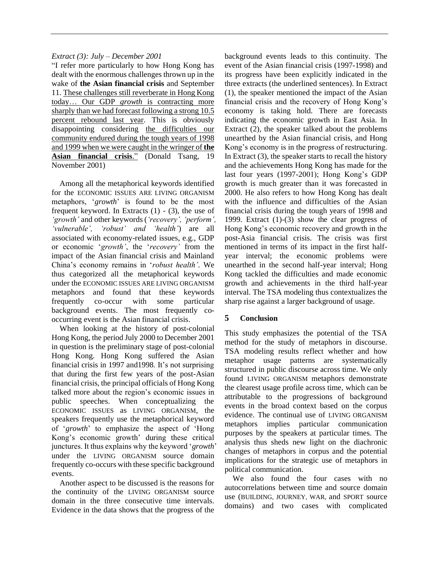## *Extract (3): July – December 2001*

"I refer more particularly to how Hong Kong has dealt with the enormous challenges thrown up in the wake of **the Asian financial crisis** and September 11. These challenges still reverberate in Hong Kong today… Our GDP *growth* is contracting more sharply than we had forecast following a strong 10.5 percent rebound last year. This is obviously disappointing considering the difficulties our community endured during the tough years of 1998 and 1999 when we were caught in the wringer of **the Asian financial crisis**." (Donald Tsang, 19 November 2001)

Among all the metaphorical keywords identified for the ECONOMIC ISSUES ARE LIVING ORGANISM metaphors, '*growth*' is found to be the most frequent keyword. In Extracts  $(1)$  -  $(3)$ , the use of *'growth'* and other keywords (*'recovery', 'perform', 'vulnerable', 'robust' and 'health'*) are all associated with economy-related issues, e.g., GDP or economic '*growth'*, the '*recovery'* from the impact of the Asian financial crisis and Mainland China's economy remains in '*robust health'*. We thus categorized all the metaphorical keywords under the ECONOMIC ISSUES ARE LIVING ORGANISM metaphors and found that these keywords frequently co-occur with some particular background events. The most frequently cooccurring event is the Asian financial crisis.

When looking at the history of post-colonial Hong Kong, the period July 2000 to December 2001 in question is the preliminary stage of post-colonial Hong Kong. Hong Kong suffered the Asian financial crisis in 1997 and1998. It's not surprising that during the first few years of the post-Asian financial crisis, the principal officials of Hong Kong talked more about the region's economic issues in public speeches. When conceptualizing the ECONOMIC ISSUES as LIVING ORGANISM, the speakers frequently use the metaphorical keyword of '*growth*' to emphasize the aspect of 'Hong Kong's economic growth' during these critical junctures. It thus explains why the keyword '*growth*' under the LIVING ORGANISM source domain frequently co-occurs with these specific background events.

Another aspect to be discussed is the reasons for the continuity of the LIVING ORGANISM source domain in the three consecutive time intervals. Evidence in the data shows that the progress of the background events leads to this continuity. The event of the Asian financial crisis (1997-1998) and its progress have been explicitly indicated in the three extracts (the underlined sentences). In Extract (1), the speaker mentioned the impact of the Asian financial crisis and the recovery of Hong Kong's economy is taking hold. There are forecasts indicating the economic growth in East Asia. In Extract (2), the speaker talked about the problems unearthed by the Asian financial crisis, and Hong Kong's economy is in the progress of restructuring. In Extract (3), the speaker starts to recall the history and the achievements Hong Kong has made for the last four years (1997-2001); Hong Kong's GDP growth is much greater than it was forecasted in 2000. He also refers to how Hong Kong has dealt with the influence and difficulties of the Asian financial crisis during the tough years of 1998 and 1999. Extract (1)-(3) show the clear progress of Hong Kong's economic recovery and growth in the post-Asia financial crisis. The crisis was first mentioned in terms of its impact in the first halfyear interval; the economic problems were unearthed in the second half-year interval; Hong Kong tackled the difficulties and made economic growth and achievements in the third half-year interval. The TSA modeling thus contextualizes the sharp rise against a larger background of usage.

## **5 Conclusion**

This study emphasizes the potential of the TSA method for the study of metaphors in discourse. TSA modeling results reflect whether and how metaphor usage patterns are systematically structured in public discourse across time. We only found LIVING ORGANISM metaphors demonstrate the clearest usage profile across time, which can be attributable to the progressions of background events in the broad context based on the corpus evidence. The continual use of LIVING ORGANISM metaphors implies particular communication purposes by the speakers at particular times. The analysis thus sheds new light on the diachronic changes of metaphors in corpus and the potential implications for the strategic use of metaphors in political communication.

We also found the four cases with no autocorrelations between time and source domain use (BUILDING, JOURNEY, WAR, and SPORT source domains) and two cases with complicated